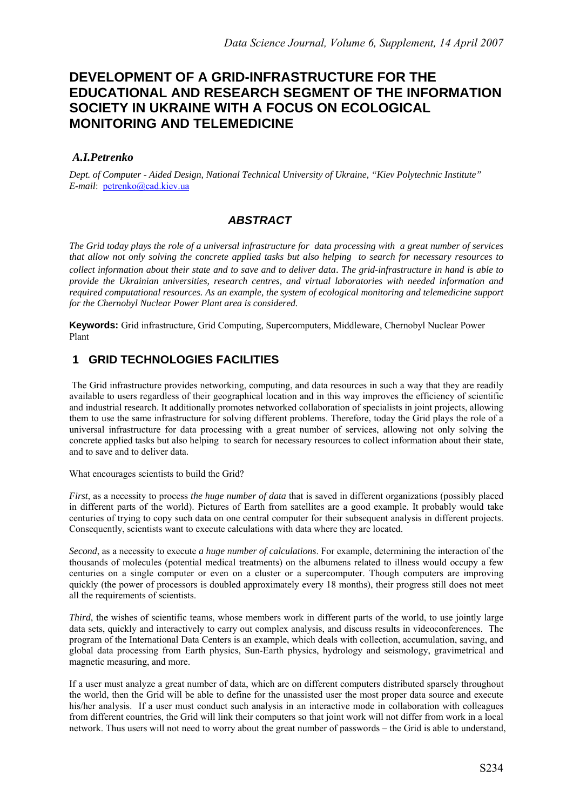# **DEVELOPMENT OF A GRID-INFRASTRUCTURE FOR THE EDUCATIONAL AND RESEARCH SEGMENT OF THE INFORMATION SOCIETY IN UKRAINE WITH A FOCUS ON ECOLOGICAL MONITORING AND TELEMEDICINE**

#### *A.I.Petrenko*

*Dept. of Computer - Aided Design, National Technical University of Ukraine, "Kiev Polytechnic Institute" E-mail*: petrenko@cad.kiev.ua

## *ABSTRACT*

*The Grid today plays the role of a universal infrastructure for data processing with a great number of services that allow not only solving the concrete applied tasks but also helping to search for necessary resources to collect information about their state and to save and to deliver data*. *The grid-infrastructure in hand is able to provide the Ukrainian universities, research centres, and virtual laboratories with needed information and required computational resources. As an example, the system of ecological monitoring and telemedicine support for the Chernobyl Nuclear Power Plant area is considered.* 

**Keywords:** Grid infrastructure, Grid Computing, Supercomputers, Middleware, Chernobyl Nuclear Power Plant

#### **1 GRID TECHNOLOGIES FACILITIES**

 The Grid infrastructure provides networking, computing, and data resources in such a way that they are readily available to users regardless of their geographical location and in this way improves the efficiency of scientific and industrial research. It additionally promotes networked collaboration of specialists in joint projects, allowing them to use the same infrastructure for solving different problems. Therefore, today the Grid plays the role of a universal infrastructure for data processing with a great number of services, allowing not only solving the concrete applied tasks but also helping to search for necessary resources to collect information about their state, and to save and to deliver data.

What encourages scientists to build the Grid?

*First*, as a necessity to process *the huge number of data* that is saved in different organizations (possibly placed in different parts of the world). Pictures of Earth from satellites are a good example. It probably would take centuries of trying to copy such data on one central computer for their subsequent analysis in different projects. Consequently, scientists want to execute calculations with data where they are located.

*Second*, as a necessity to execute *a huge number of calculations*. For example, determining the interaction of the thousands of molecules (potential medical treatments) on the albumens related to illness would occupy a few centuries on a single computer or even on a cluster or a supercomputer. Though computers are improving quickly (the power of processors is doubled approximately every 18 months), their progress still does not meet all the requirements of scientists.

*Third*, the wishes of scientific teams, whose members work in different parts of the world, to use jointly large data sets, quickly and interactively to carry out complex analysis, and discuss results in videoconferences. The program of the International Data Centers is an example, which deals with collection, accumulation, saving, and global data processing from Earth physics, Sun-Earth physics, hydrology and seismology, gravimetrical and magnetic measuring, and more.

If a user must analyze a great number of data, which are on different computers distributed sparsely throughout the world, then the Grid will be able to define for the unassisted user the most proper data source and execute his/her analysis. If a user must conduct such analysis in an interactive mode in collaboration with colleagues from different countries, the Grid will link their computers so that joint work will not differ from work in a local network. Thus users will not need to worry about the great number of passwords – the Grid is able to understand,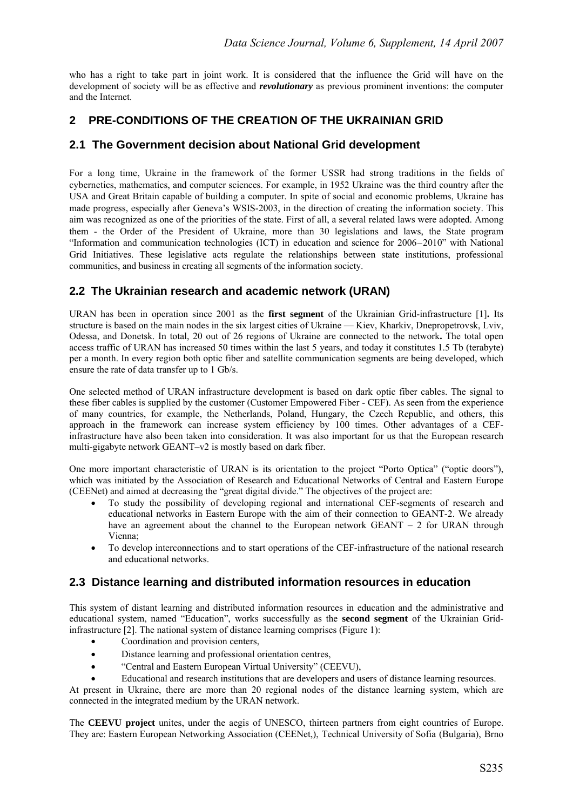who has a right to take part in joint work. It is considered that the influence the Grid will have on the development of society will be as effective and *revolutionary* as previous prominent inventions: the computer and the Internet.

# **2 PRE-CONDITIONS OF THE CREATION OF THE UKRAINIAN GRID**

#### **2.1 The Government decision about National Grid development**

For a long time, Ukraine in the framework of the former USSR had strong traditions in the fields of cybernetics, mathematics, and computer sciences. For example, in 1952 Ukraine was the third country after the USA and Great Britain capable of building a computer. In spite of social and economic problems, Ukraine has made progress, especially after Geneva's WSIS-2003, in the direction of creating the information society. This aim was recognized as one of the priorities of the state. First of all, a several related laws were adopted. Among them - the Order of the President of Ukraine, more than 30 legislations and laws, the State program "Information and communication technologies (ICT) in education and science for 2006–2010" with National Grid Initiatives. These legislative acts regulate the relationships between state institutions, professional communities, and business in creating all segments of the information society.

## **2.2 The Ukrainian research and academic network (URAN)**

URAN has been in operation since 2001 as the **first segment** of the Ukrainian Grid-infrastructure [1]**.** Its structure is based on the main nodes in the six largest cities of Ukraine — Kiev, Kharkiv, Dnepropetrovsk, Lviv, Odessa, and Donetsk. In total, 20 out of 26 regions of Ukraine are connected to the network**.** The total open access traffic of URAN has increased 50 times within the last 5 years, and today it constitutes 1.5 Tb (terabyte) per a month. In every region both optic fiber and satellite communication segments are being developed, which ensure the rate of data transfer up to 1 Gb/s.

One selected method of URAN infrastructure development is based on dark optic fiber cables. The signal to these fiber cables is supplied by the customer (Customer Empowered Fiber - CEF). As seen from the experience of many countries, for example, the Netherlands, Poland, Hungary, the Czech Republic, and others, this approach in the framework can increase system efficiency by 100 times. Other advantages of a CEFinfrastructure have also been taken into consideration. It was also important for us that the European research multi-gigabyte network GEANT–v2 is mostly based on dark fiber.

One more important characteristic of URAN is its orientation to the project "Porto Optica" ("optic doors"), which was initiated by the Association of Research and Educational Networks of Central and Eastern Europe (CEENet) and aimed at decreasing the "great digital divide." The objectives of the project are:

- To study the possibility of developing regional and international CEF-segments of research and educational networks in Eastern Europe with the aim of their connection to GEANT-2. We already have an agreement about the channel to the European network GEANT – 2 for URAN through Vienna;
- To develop interconnections and to start operations of the CEF-infrastructure of the national research and educational networks.

## **2.3 Distance learning and distributed information resources in education**

This system of distant learning and distributed information resources in education and the administrative and educational system, named "Education", works successfully as the **second segment** of the Ukrainian Gridinfrastructure [2]. The national system of distance learning comprises (Figure 1):

- Coordination and provision centers,
- Distance learning and professional orientation centres,
- "Central and Eastern European Virtual University" (CEEVU),
- Educational and research institutions that are developers and users of distance learning resources.

At present in Ukraine, there are more than 20 regional nodes of the distance learning system, which are connected in the integrated medium by the URAN network.

The **CEEVU project** unites, under the aegis of UNESCO, thirteen partners from eight countries of Europe. They are: Eastern European Networking Association (CEENet,), Technical University of Sofia (Bulgaria), Brno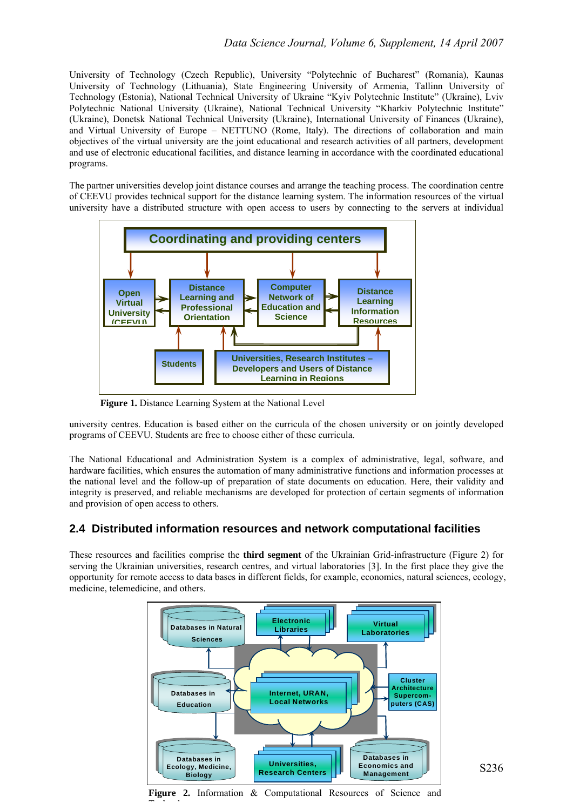University of Technology (Czech Republic), University "Polytechnic of Bucharest" (Romania), Kaunas University of Technology (Lithuania), State Engineering University of Armenia, Tallinn University of Technology (Estonia), National Technical University of Ukraine "Kyiv Polytechnic Institute" (Ukraine), Lviv Polytechnic National University (Ukraine), National Technical University "Kharkiv Polytechnic Institute" (Ukraine), Donetsk National Technical University (Ukraine), International University of Finances (Ukraine), and Virtual University of Europe – NETTUNO (Rome, Italy). The directions of collaboration and main objectives of the virtual university are the joint educational and research activities of all partners, development and use of electronic educational facilities, and distance learning in accordance with the coordinated educational programs.

The partner universities develop joint distance courses and arrange the teaching process. The coordination centre of CEEVU provides technical support for the distance learning system. The information resources of the virtual university have a distributed structure with open access to users by connecting to the servers at individual



**Figure 1.** Distance Learning System at the National Level

The St

university centres. Education is based either on the curricula of the chosen university or on jointly developed programs of CEEVU. Students are free to choose either of these curricula.

The National Educational and Administration System is a complex of administrative, legal, software, and hardware facilities, which ensures the automation of many administrative functions and information processes at the national level and the follow-up of preparation of state documents on education. Here, their validity and integrity is preserved, and reliable mechanisms are developed for protection of certain segments of information and provision of open access to others.

#### **2.4 Distributed information resources and network computational facilities**

These resources and facilities comprise the **third segment** of the Ukrainian Grid-infrastructure (Figure 2) for serving the Ukrainian universities, research centres, and virtual laboratories [3]. In the first place they give the opportunity for remote access to data bases in different fields, for example, economics, natural sciences, ecology, medicine, telemedicine, and others.



**Figure 2.** Information & Computational Resources of Science and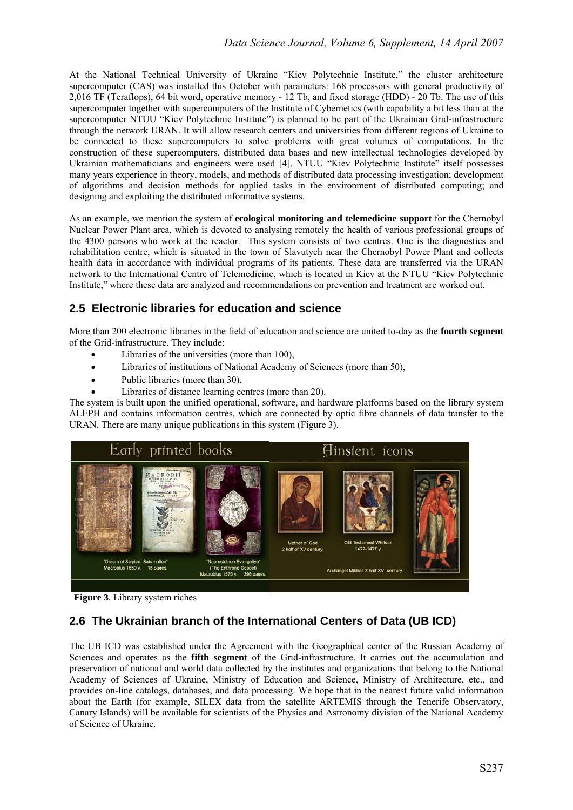At the National Technical University of Ukraine "Kiev Polytechnic Institute," the cluster architecture supercomputer (CAS) was installed this October with parameters: 168 processors with general productivity of 2,016 TF (Teraflops), 64 bit word, operative memory - 12 Tb, and fixed storage (HDD) - 20 Tb. The use of this supercomputer together with supercomputers of the Institute of Cybernetics (with capability a bit less than at the supercomputer NTUU "Kiev Polytechnic Institute") is planned to be part of the Ukrainian Grid-infrastructure through the network URAN. It will allow research centers and universities from different regions of Ukraine to be connected to these supercomputers to solve problems with great volumes of computations. In the construction of these supercomputers, distributed data bases and new intellectual technologies developed by Ukrainian mathematicians and engineers were used [4]. NTUU "Kiev Polytechnic Institute" itself possesses many years experience in theory, models, and methods of distributed data processing investigation; development of algorithms and decision methods for applied tasks in the environment of distributed computing; and designing and exploiting the distributed informative systems.

As an example, we mention the system of **ecological monitoring and telemedicine support** for the Chernobyl Nuclear Power Plant area, which is devoted to analysing remotely the health of various professional groups of the 4300 persons who work at the reactor. This system consists of two centres. One is the diagnostics and rehabilitation centre, which is situated in the town of Slavutych near the Chernobyl Power Plant and collects health data in accordance with individual programs of its patients. These data are transferred via the URAN network to the International Centre of Telemedicine, which is located in Kiev at the NTUU "Kiev Polytechnic Institute," where these data are analyzed and recommendations on prevention and treatment are worked out.

#### **2.5 Electronic libraries for education and science**

More than 200 electronic libraries in the field of education and science are united to-day as the **fourth segment** of the Grid-infrastructure. They include:

- Libraries of the universities (more than 100),
- Libraries of institutions of National Academy of Sciences (more than 50).
- Public libraries (more than 30),
- Libraries of distance learning centres (more than 20).

The system is built upon the unified operational, software, and hardware platforms based on the library system ALEPH and contains information centres, which are connected by optic fibre channels of data transfer to the URAN. There are many unique publications in this system (Figure 3).



 **Figure 3***.* Library system riches

## **2.6 The Ukrainian branch of the International Centers of Data (UB ICD)**

The UB ICD was established under the Agreement with the Geographical center of the Russian Academy of Sciences and operates as the **fifth segment** of the Grid-infrastructure. It carries out the accumulation and preservation of national and world data collected by the institutes and organizations that belong to the National Academy of Sciences of Ukraine, Ministry of Education and Science, Ministry of Architecture, etc., and provides on-line catalogs, databases, and data processing. We hope that in the nearest future valid information about the Earth (for example, SILEX data from the satellite ARTEMIS through the Tenerife Observatory, Canary Islands) will be available for scientists of the Physics and Astronomy division of the National Academy of Science of Ukraine.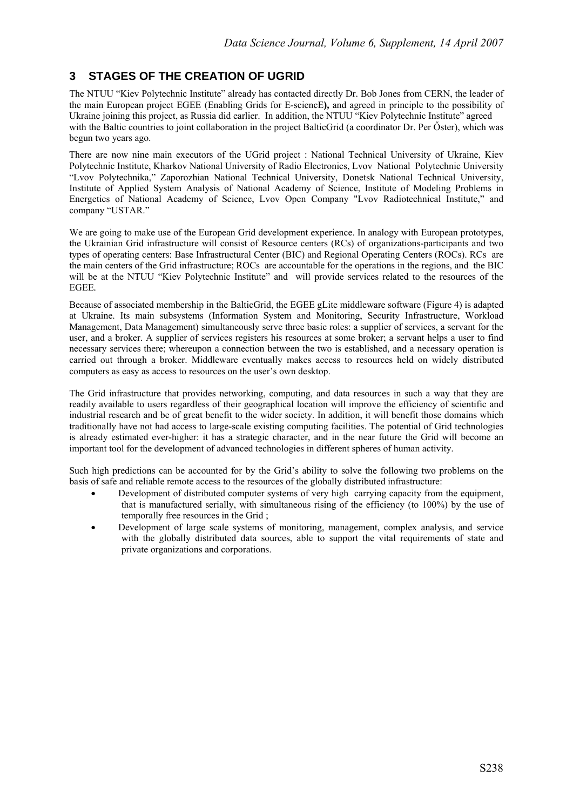#### **3 STAGES OF THE CREATION OF UGRID**

The NTUU "Kiev Polytechnic Institute" already has contacted directly Dr. Bob Jones from CERN, the leader of the main European project EGEE (Enabling Grids for E-sciencE**),** and agreed in principle to the possibility of Ukraine joining this project, as Russia did earlier. In addition, the NTUU "Kiev Polytechnic Institute" agreed with the Baltic countries to joint collaboration in the project BalticGrid (a coordinator Dr. Per Őster), which was begun two years ago.

There are now nine main executors of the UGrid project : National Technical University of Ukraine, Kiev Polytechnic Institute, Kharkov National University of Radio Electronics, Lvov National Polytechnic University "Lvov Polytechnika," Zaporozhian National Technical University, Donetsk National Technical University, Institute of Applied System Analysis of National Academy of Science, Institute of Modeling Problems in Energetics of National Academy of Science, Lvov Open Company "Lvov Radiotechnical Institute," and company "USTAR."

We are going to make use of the European Grid development experience. In analogy with European prototypes, the Ukrainian Grid infrastructure will consist of Resource centers (RCs) of organizations-participants and two types of operating centers: Base Infrastructural Center (BIC) and Regional Operating Centers (ROCs). RCs are the main centers of the Grid infrastructure; ROCs are accountable for the operations in the regions, and the BIC will be at the NTUU "Kiev Polytechnic Institute" and will provide services related to the resources of the EGEE*.* 

Because of associated membership in the BalticGrid, the EGEE gLite middleware software (Figure 4) is adapted at Ukraine. Its main subsystems (Information System and Monitoring, Security Infrastructure, Workload Management, Data Management) simultaneously serve three basic roles: a supplier of services, a servant for the user, and a broker. A supplier of services registers his resources at some broker; a servant helps a user to find necessary services there; whereupon a connection between the two is established, and a necessary operation is carried out through a broker. Middleware eventually makes access to resources held on widely distributed computers as easy as access to resources on the user's own desktop.

The Grid infrastructure that provides networking, computing, and data resources in such a way that they are readily available to users regardless of their geographical location will improve the efficiency of scientific and industrial research and be of great benefit to the wider society. In addition, it will benefit those domains which traditionally have not had access to large-scale existing computing facilities. The potential of Grid technologies is already estimated ever-higher: it has a strategic character, and in the near future the Grid will become an important tool for the development of advanced technologies in different spheres of human activity.

Such high predictions can be accounted for by the Grid's ability to solve the following two problems on the basis of safe and reliable remote access to the resources of the globally distributed infrastructure:

- Development of distributed computer systems of very high carrying capacity from the equipment, that is manufactured serially, with simultaneous rising of the efficiency (to 100%) by the use of temporally free resources in the Grid ;
- Development of large scale systems of monitoring, management, complex analysis, and service with the globally distributed data sources, able to support the vital requirements of state and private organizations and corporations.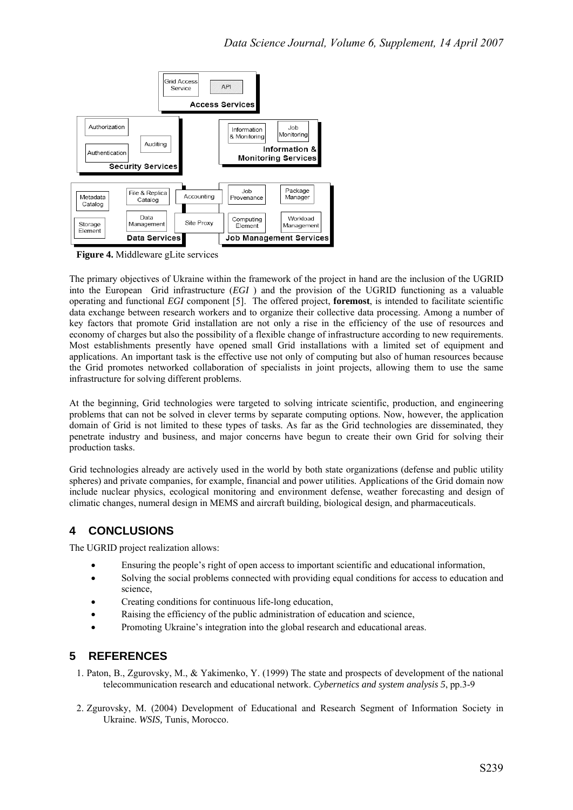

 **Figure 4.** Middleware gLite services

The primary objectives of Ukraine within the framework of the project in hand are the inclusion of the UGRID into the European Grid infrastructure (*EGI* ) and the provision of the UGRID functioning as a valuable operating and functional *EGI* component [5]. The offered project, **foremost**, is intended to facilitate scientific data exchange between research workers and to organize their collective data processing. Among a number of key factors that promote Grid installation are not only a rise in the efficiency of the use of resources and economy of charges but also the possibility of a flexible change of infrastructure according to new requirements. Most establishments presently have opened small Grid installations with a limited set of equipment and applications. An important task is the effective use not only of computing but also of human resources because the Grid promotes networked collaboration of specialists in joint projects, allowing them to use the same infrastructure for solving different problems.

At the beginning, Grid technologies were targeted to solving intricate scientific, production, and engineering problems that can not be solved in clever terms by separate computing options. Now, however, the application domain of Grid is not limited to these types of tasks. As far as the Grid technologies are disseminated, they penetrate industry and business, and major concerns have begun to create their own Grid for solving their production tasks.

Grid technologies already are actively used in the world by both state organizations (defense and public utility spheres) and private companies, for example, financial and power utilities. Applications of the Grid domain now include nuclear physics, ecological monitoring and environment defense, weather forecasting and design of climatic changes, numeral design in MEMS and aircraft building, biological design, and pharmaceuticals.

# **4 CONCLUSIONS**

The UGRID project realization allows:

- Ensuring the people's right of open access to important scientific and educational information,
- Solving the social problems connected with providing equal conditions for access to education and science,
- Creating conditions for continuous life-long education,
- Raising the efficiency of the public administration of education and science,
- Promoting Ukraine's integration into the global research and educational areas.

## **5 REFERENCES**

- 1. Paton, B., Zgurovsky, M., & Yakimenko, Y. (1999) The state and prospects of development of the national telecommunication research and educational network. *Cybernetics and system analysis 5*, pp.3-9
- 2. Zgurovsky, M. (2004) Development of Educational and Research Segment of Information Society in Ukraine. *WSIS,* Tunis, Morocco.